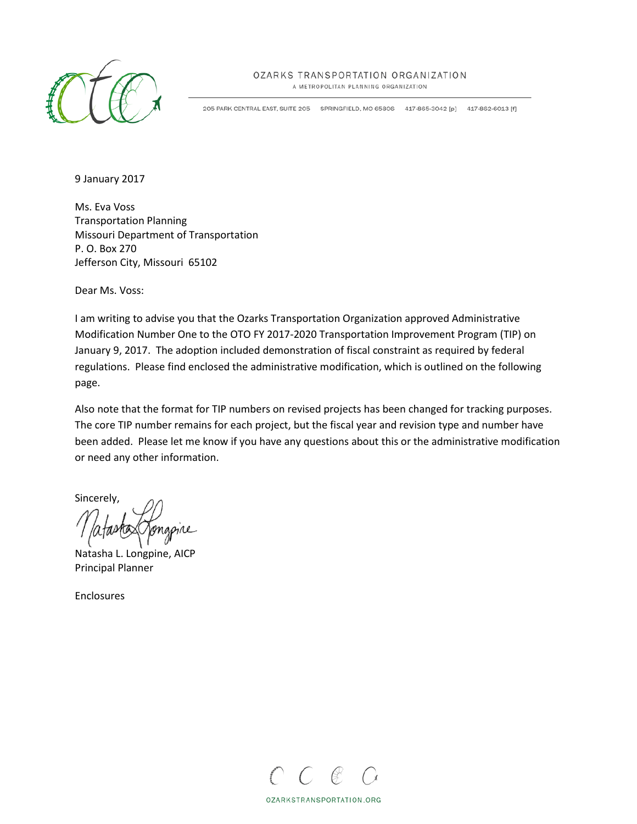

### OZARKS TRANSPORTATION ORGANIZATION

A METROPOLITAN PLANNING ORGANIZATION

205 PARK CENTRAL EAST, SUITE 205 SPRINGFIELD, MO 65806 417-865-3042 [p] 417-862-6013 [f]

9 January 2017

Ms. Eva Voss Transportation Planning Missouri Department of Transportation P. O. Box 270 Jefferson City, Missouri 65102

Dear Ms. Voss:

I am writing to advise you that the Ozarks Transportation Organization approved Administrative Modification Number One to the OTO FY 2017-2020 Transportation Improvement Program (TIP) on January 9, 2017. The adoption included demonstration of fiscal constraint as required by federal regulations. Please find enclosed the administrative modification, which is outlined on the following page.

Also note that the format for TIP numbers on revised projects has been changed for tracking purposes. The core TIP number remains for each project, but the fiscal year and revision type and number have been added. Please let me know if you have any questions about this or the administrative modification or need any other information.

Sincerely,

Natasha L. Longpine, AICP Principal Planner

Enclosures



OZARKSTRANSPORTATION.ORG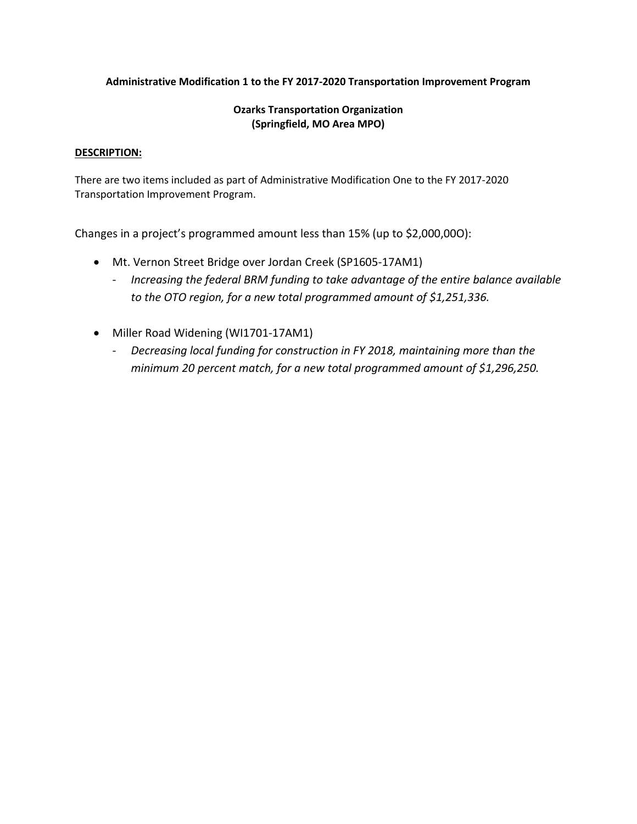### **Administrative Modification 1 to the FY 2017-2020 Transportation Improvement Program**

### **Ozarks Transportation Organization (Springfield, MO Area MPO)**

### **DESCRIPTION:**

There are two items included as part of Administrative Modification One to the FY 2017-2020 Transportation Improvement Program.

Changes in a project's programmed amount less than 15% (up to \$2,000,00O):

- Mt. Vernon Street Bridge over Jordan Creek (SP1605-17AM1)
	- *Increasing the federal BRM funding to take advantage of the entire balance available to the OTO region, for a new total programmed amount of \$1,251,336.*
- Miller Road Widening (WI1701-17AM1)
	- *Decreasing local funding for construction in FY 2018, maintaining more than the minimum 20 percent match, for a new total programmed amount of \$1,296,250.*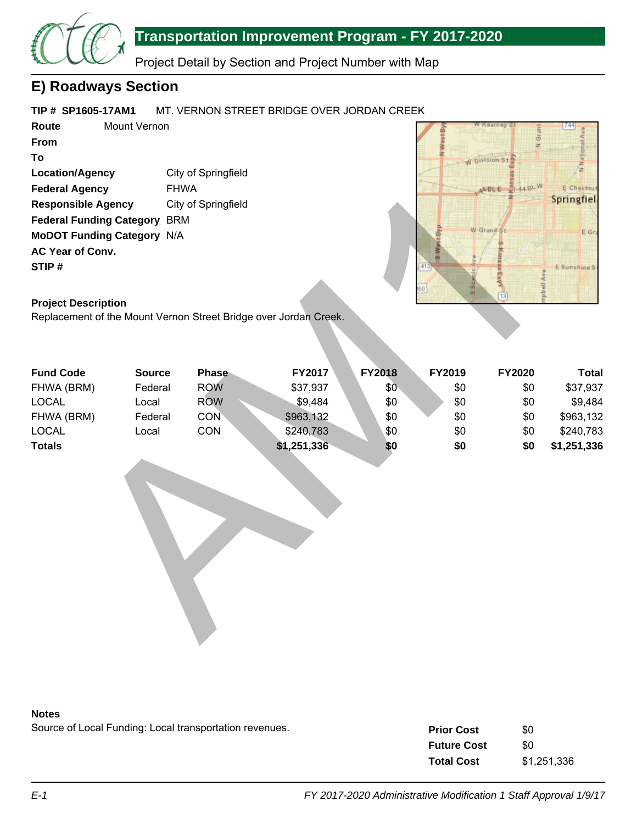

# **Transportation Improvement Program - FY 2017-2020**

Project Detail by Section and Project Number with Map

## **E) Roadways Section**

#### **TIP # SP1605-17AM1** MT. VERNON STREET BRIDGE OVER JORDAN CREEK

**Route From To Location/Agency Federal Agency Responsible Agency Federal Funding Category** BRM **MoDOT Funding Category** N/A **AC Year of Conv. STIP #** Mount Vernon City of Springfield FHWA City of Springfield



### **Project Description**

| <b>Responsible Agency</b>           |               | City of Springfield |                                                                  |               |           |              |              |
|-------------------------------------|---------------|---------------------|------------------------------------------------------------------|---------------|-----------|--------------|--------------|
| <b>Federal Funding Category BRM</b> |               |                     |                                                                  |               |           |              |              |
| <b>MoDOT Funding Category N/A</b>   |               |                     |                                                                  |               |           | W Grand St   | E Gr         |
| AC Year of Conv.                    |               |                     |                                                                  |               |           |              |              |
| STIP#                               |               |                     |                                                                  |               | 413       |              | E Sunshine S |
|                                     |               |                     |                                                                  |               |           | kdx          |              |
|                                     |               |                     |                                                                  |               | 60<br>os. | $\boxed{13}$ |              |
| <b>Project Description</b>          |               |                     |                                                                  |               |           |              |              |
|                                     |               |                     | Replacement of the Mount Vernon Street Bridge over Jordan Creek. |               |           |              |              |
| <b>Fund Code</b>                    | <b>Source</b> | Phase               | FY2017                                                           | <b>FY2018</b> | FY2019    | FY2020       | <b>Total</b> |
| FHWA (BRM)                          | Federal       | <b>ROW</b>          | \$37,937                                                         | \$0           | \$0       | \$0          | \$37,937     |
| <b>LOCAL</b>                        | Local         | <b>ROW</b>          | \$9,484                                                          | \$0           | \$0       | \$0          | \$9,484      |
| FHWA (BRM)                          | Federal       | <b>CON</b>          | \$963,132                                                        | \$0           | \$0       | \$0          | \$963,132    |
| <b>LOCAL</b>                        | Local         | CON                 | \$240,783                                                        | \$0           | \$0       | \$0          | \$240,783    |
| <b>Totals</b>                       |               |                     | \$1,251,336                                                      | \$0           | \$0       | \$0          | \$1,251,336  |
|                                     |               |                     |                                                                  |               |           |              |              |



Source of Local Funding: Local transportation revenues.

| <b>Prior Cost</b>  | \$0         |
|--------------------|-------------|
| <b>Future Cost</b> | \$0         |
| <b>Total Cost</b>  | \$1,251,336 |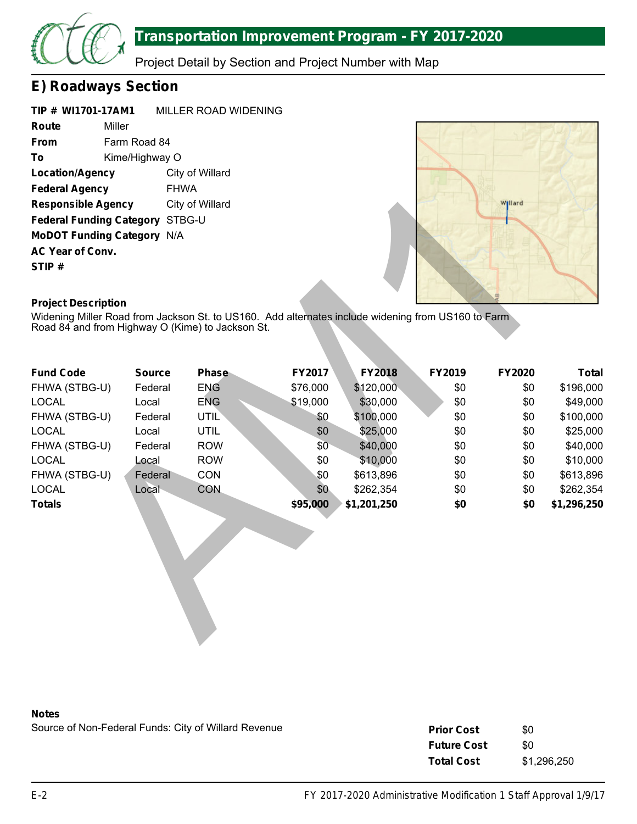

Project Detail by Section and Project Number with Map

# **E) Roadways Section**

**TIP # WI1701-17AM1 Route From To Location/Agency Federal Agency Responsible Agency Federal Funding Category** STBG-U **MoDOT Funding Category** N/A **AC Year of Conv. STIP #** MILLER ROAD WIDENING Miller Farm Road 84 Kime/Highway O City of Willard FHWA City of Willard



### **Project Description**

| <b>Responsible Agency</b>                                                                                                        |               | City of Willard |               |               |        | <b>Hard</b>   |              |
|----------------------------------------------------------------------------------------------------------------------------------|---------------|-----------------|---------------|---------------|--------|---------------|--------------|
| Federal Funding Category STBG-U                                                                                                  |               |                 |               |               |        |               |              |
| <b>MoDOT Funding Category N/A</b>                                                                                                |               |                 |               |               |        |               |              |
| AC Year of Conv.                                                                                                                 |               |                 |               |               |        |               |              |
| STIP#                                                                                                                            |               |                 |               |               |        |               |              |
|                                                                                                                                  |               |                 |               |               |        |               |              |
|                                                                                                                                  |               |                 |               |               |        |               |              |
| <b>Project Description</b><br>Widening Miller Road from Jackson St. to US160. Add alternates include widening from US160 to Farm |               |                 |               |               |        |               |              |
| Road 84 and from Highway O (Kime) to Jackson St.                                                                                 |               |                 |               |               |        |               |              |
|                                                                                                                                  |               |                 |               |               |        |               |              |
|                                                                                                                                  |               |                 |               |               |        |               |              |
| <b>Fund Code</b>                                                                                                                 | <b>Source</b> | <b>Phase</b>    | <b>FY2017</b> | <b>FY2018</b> | FY2019 | <b>FY2020</b> | <b>Total</b> |
| FHWA (STBG-U)                                                                                                                    | Federal       | <b>ENG</b>      | \$76,000      | \$120,000     | \$0    | \$0           | \$196,000    |
| <b>LOCAL</b>                                                                                                                     | Local         | <b>ENG</b>      | \$19,000      | \$30,000      | \$0    | \$0           | \$49,000     |
| FHWA (STBG-U)                                                                                                                    | Federal       | <b>UTIL</b>     | \$0           | \$100,000     | \$0    | \$0           | \$100,000    |
| <b>LOCAL</b>                                                                                                                     | Local         | <b>UTIL</b>     | \$0           | \$25,000      | \$0    | \$0           | \$25,000     |
| FHWA (STBG-U)                                                                                                                    | Federal       | <b>ROW</b>      | \$0           | \$40,000      | \$0    | \$0           | \$40,000     |
| <b>LOCAL</b>                                                                                                                     | Local         | <b>ROW</b>      | \$0           | \$10,000      | \$0    | \$0           | \$10,000     |
| FHWA (STBG-U)                                                                                                                    | Federal       | <b>CON</b>      | \$0           | \$613,896     | \$0    | \$0           | \$613,896    |
| <b>LOCAL</b>                                                                                                                     | Local         | <b>CON</b>      | \$0           | \$262,354     | \$0    | \$0           | \$262,354    |
| <b>Totals</b>                                                                                                                    |               |                 | \$95,000      | \$1,201,250   | \$0    | \$0           | \$1,296,250  |
|                                                                                                                                  |               |                 |               |               |        |               |              |
|                                                                                                                                  |               |                 |               |               |        |               |              |
|                                                                                                                                  |               |                 |               |               |        |               |              |
|                                                                                                                                  |               |                 |               |               |        |               |              |
|                                                                                                                                  |               |                 |               |               |        |               |              |
|                                                                                                                                  |               |                 |               |               |        |               |              |
|                                                                                                                                  |               |                 |               |               |        |               |              |
|                                                                                                                                  |               |                 |               |               |        |               |              |
|                                                                                                                                  |               |                 |               |               |        |               |              |

### **Notes**

Source of Non-Federal Funds: City of Willard Revenue

| <b>Prior Cost</b>  | \$0         |
|--------------------|-------------|
| <b>Future Cost</b> | \$0         |
| <b>Total Cost</b>  | \$1,296,250 |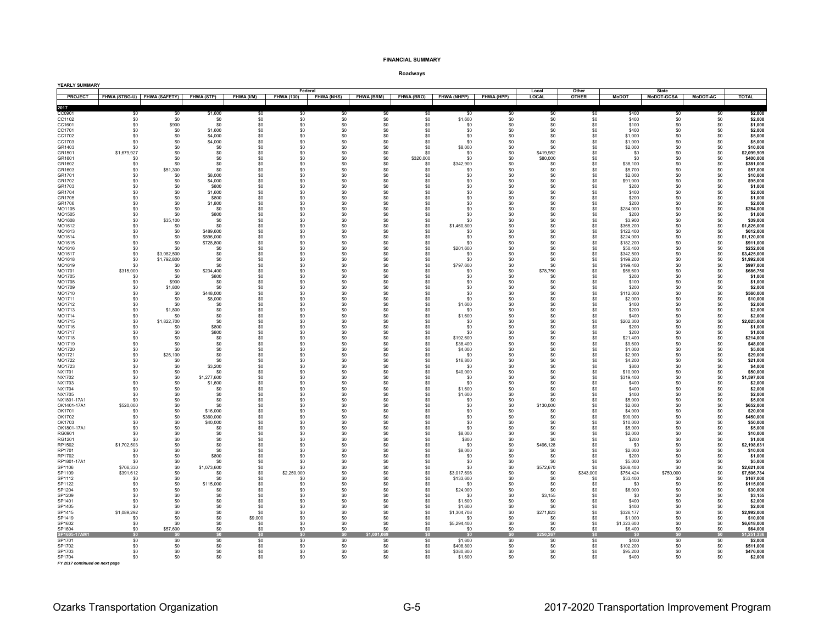#### **FINANCIAL SUMMARY**

| YEARLY SUMMARY                 |                        |                                        |                        |              |                    | Federal           |                       |                   |                       |            | Local            | Other            |                        | State             |                       |                            |
|--------------------------------|------------------------|----------------------------------------|------------------------|--------------|--------------------|-------------------|-----------------------|-------------------|-----------------------|------------|------------------|------------------|------------------------|-------------------|-----------------------|----------------------------|
| <b>PROJECT</b>                 |                        | FHWA (STBG-U) FHWA (SAFETY) FHWA (STP) |                        | FHWA (I/M)   | <b>FHWA (130)</b>  | <b>FHWA (NHS)</b> | <b>FHWA (BRM)</b>     | <b>FHWA (BRO)</b> | <b>FHWA (NHPP)</b>    | FHWA (HPP) | LOCAL            | <b>OTHER</b>     | <b>MoDOT</b>           | <b>MoDOT-GCSA</b> | <b>MoDOT-AC</b>       | <b>TOTAL</b>               |
| 2017                           |                        |                                        |                        |              |                    |                   |                       |                   |                       |            |                  |                  |                        |                   |                       |                            |
| CC0901<br>CC1102               | \$0<br>\$0             | \$0<br>\$0                             | \$1,600<br>\$0         | \$0<br>\$0   | \$0<br>\$0         | \$0<br>\$0        | \$0<br>\$0            | \$0<br>\$0        | \$0<br>\$1,600        | \$0<br>\$0 | \$0<br>\$0       | \$0<br>\$0       | \$400<br>\$400         | \$0<br>\$0        | \$0<br>\$0            | \$2,000<br>\$2,000         |
| CC1601                         | \$0                    | \$900                                  | \$0                    | $\$0$        | \$0                | \$0               | \$0                   | $\$0$             | \$0                   | \$0        | \$0              | \$0              | \$100                  | \$0               | \$0                   | \$1,000                    |
| CC1701                         | \$0                    | \$0                                    | \$1,600                | \$0          | \$0                | \$0               | \$0                   | \$0<br>\$0        | \$0<br>\$0            | \$0        | \$0<br>\$0       | \$0              | \$400                  | \$0               | \$0                   | \$2,000                    |
| CC1702<br>CC1703               | \$0<br>\$0             | \$0<br>\$0                             | \$4,000<br>\$4,000     | \$0<br>\$0   | \$0<br>\$0         | \$0<br>\$0        | \$0<br>\$0            | \$0               | \$0                   | \$0<br>\$0 | \$0              | \$0<br>\$0       | \$1,000<br>\$1,000     | \$0<br>\$0        | \$0<br>\$0            | \$5,000<br>\$5,000         |
| GR1403                         | \$0                    | \$0                                    | \$0                    | \$0          | \$0                | \$0               | \$0                   | \$0               | \$8,000               | \$0        | \$n              | \$0              | \$2,000                | \$0               | \$0                   | \$10,000                   |
| GR1501<br>GR1601               | \$1,679,927            | \$0<br>\$0                             | \$0<br>\$0             | \$0<br>\$0   | \$0<br>\$0         | \$0<br>\$0        | \$0<br>\$0            | \$0<br>\$320,000  | \$0<br>\$0            | \$0<br>\$0 | \$419,982        | \$0<br>\$0       | \$0<br>\$0             | \$0<br>\$0        | \$0<br>\$0            | \$2,099,909<br>\$400,000   |
| GR1602                         | \$0<br>$\$0$           | \$0                                    | \$0                    | $\$0$        | \$0                | \$0               | \$0                   | $\$0$             | \$342,900             | \$0        | \$80,000<br>\$0  | \$0              | \$38,100               | $\$0$             | \$0                   | \$381,000                  |
| GR1603                         | \$0                    | \$51,300                               | \$0                    | \$0          | \$0                | \$0               | \$0                   | \$0               | \$0                   | \$0        | \$0              | \$0              | \$5,700                | \$0               | \$0                   | \$57,000                   |
| GR1701<br>GR1702               | \$0<br>\$0             | \$0<br>\$0                             | \$8,000<br>\$4,000     | \$0<br>\$0   | \$0<br>\$0         | \$0<br>\$0        | \$0<br>\$0            | \$0<br>\$0        | \$0<br>\$0            | \$0<br>\$0 | \$0<br>\$0       | \$0<br>\$0       | \$2,000<br>\$91,000    | $\$0$<br>\$0      | $\$0$<br>\$0          | \$10,000<br>\$95,000       |
| GR1703                         | $\$0$                  | \$0                                    | \$800                  | $\$0$        | \$0                | \$0               | \$0                   | $\$0$             | \$0                   | \$0        | \$0              | \$0              | \$200                  | $\$0$             | $\$0$                 | \$1,000                    |
| GR1704                         | \$0                    | \$0                                    | \$1,600                | \$0          | \$0                | \$0               | \$0                   | \$0               | \$0                   | \$0        | \$0              | \$0              | \$400                  | \$0               | \$0                   | \$2,000                    |
| GR1705<br>GR1706               | \$0<br>\$0             | \$0<br>\$0                             | \$800<br>\$1,800       | \$0<br>\$0   | \$0<br>\$0         | \$0<br>\$0        | \$0<br>\$0            | \$0<br>\$0        | \$0<br>\$0            | \$0<br>\$0 | \$0<br>\$0       | \$0<br>\$0       | \$200<br>\$200         | \$0<br>\$0        | \$0<br>\$0            | \$1,000<br>\$2,000         |
| MO1105                         | \$0                    | \$0                                    | \$0                    | \$0          | \$0                | \$0               | \$0                   | \$0               | \$0                   | \$0        | \$0              | \$0              | \$284,000              | \$0               | \$0                   | \$284,000                  |
| MO1505                         | \$0                    | \$0                                    | \$800                  | $\$0$        | \$0                | \$0               | \$0                   | \$0               | \$0                   | \$0        | \$0              | \$0              | \$200                  | \$0               | \$0                   | \$1,000                    |
| MO1608<br>MO1612               | \$0<br>\$0             | \$35,100<br>\$0                        | \$0<br>\$0             | \$0<br>\$0   | \$0<br>\$0         | \$0<br>\$0        | \$0<br>\$0            | \$0<br>$\$0$      | \$0<br>\$1,460,800    | \$0<br>\$0 | \$0<br>\$0       | \$0<br>\$0       | \$3,900<br>\$365,200   | \$0<br>\$0        | \$0<br>\$0            | \$39,000<br>\$1,826,000    |
| MO1613                         | \$0                    | \$0                                    | \$489,600              | \$0          | \$0                | \$0               | \$0                   | \$0               | \$0                   | \$0        | \$0              | \$0              | \$122,400              | \$0               | \$0                   | \$612,000                  |
| MO1614<br>MO1615               | \$0<br>\$0             | \$0<br>\$0                             | \$896,000<br>\$728,800 | \$0<br>\$0   | \$0<br>\$0         | \$0<br>\$0        | \$0<br>\$0            | \$0<br>\$0        | \$0<br>\$0            | \$0<br>\$0 | \$0<br>\$0       | \$0<br>\$0       | \$224,000<br>\$182,200 | \$0<br>\$0        | \$0<br>\$0            | \$1,120,000<br>\$911,000   |
| MO1616                         | \$0                    | \$0                                    | \$0                    | \$0          | \$0                | \$0               | \$0                   | \$0               | \$201.600             | \$0        | \$0              | \$0              | \$50,400               | \$0               | \$0                   | \$252,000                  |
| MO1617                         | \$0                    | \$3,082,500                            | \$0                    | $\$0$        | \$0                | \$0               | \$0                   | $\$0$             | \$0                   | \$0        | \$0              | \$0              | \$342,500              | $\$0$             | \$0                   | \$3,425,000                |
| MO1618<br>MO1619               | \$0<br>\$0             | \$1,792,800<br>\$0                     | \$0<br>\$0             | \$0<br>\$0   | \$0<br>\$0         | \$0<br>\$0        | \$0<br>\$0            | \$0<br>\$0        | \$0<br>\$797,600      | \$0<br>\$0 | \$0<br>\$0       | \$0<br>\$0       | \$199,200<br>\$199,400 | \$0<br>\$0        | \$0<br>\$0            | \$1,992,000<br>\$997,000   |
| MO1701                         | \$315,000              | \$0                                    | \$234,400              | \$0          | \$0                | \$0               | \$0                   | \$0               | \$0                   | \$0        | \$78,750         | \$0              | \$58,600               | \$0               | \$0                   | \$686,750                  |
| MO1705                         | \$0                    | \$0                                    | \$800                  | \$0          | \$0                | \$0               | \$0                   | \$0               | \$0                   | \$0        | \$0              | \$0              | \$200                  | \$0               | \$0                   | \$1,000                    |
| MO1708<br>MO1709               | \$0<br>\$0             | \$900<br>\$1,800                       | \$0<br>\$0             | \$0<br>\$0   | \$0<br>\$0         | \$0<br>\$0        | \$0<br>\$0            | \$0<br>\$0        | \$0<br>\$0            | \$0<br>\$0 | \$0<br>\$0       | \$0<br>\$0       | \$100<br>\$200         | \$0<br>\$0        | S <sub>0</sub><br>\$0 | \$1,000<br>\$2,000         |
| MO1710                         | \$0                    | \$0                                    | \$448,000              | \$0          | \$0                | \$0               | \$0                   | \$0               | \$0                   | \$0        | \$0              | \$0              | \$112,000              | \$0               | \$0                   | \$560,000                  |
| MO1711                         | \$0                    | \$0                                    | \$8,000                | \$0          | \$0                | \$0               | \$0                   | \$0               | \$0                   | \$0        | \$0              | \$0              | \$2,000                | \$0               | \$0                   | \$10,000                   |
| MO1712<br>MO1713               | \$0<br>\$0             | \$0<br>\$1,800                         | \$0<br>\$0             | \$0<br>\$0   | \$0<br>\$0         | \$0<br>\$0        | \$0<br>\$0            | $\$0$<br>\$0      | \$1,600<br>\$0        | \$0<br>\$0 | \$0<br>\$0       | \$0<br>\$0       | \$400<br>\$200         | \$0<br>\$0        | \$0<br>\$0            | \$2,000<br>\$2,000         |
| MO1714                         | \$0                    | \$0                                    | \$0                    | \$0          | \$0                | \$0               | \$0                   | \$0               | \$1,600               | \$0        | \$0              | \$0              | \$400                  | \$0               | \$0                   | \$2,000                    |
| MO1715<br>MO1716               | \$0<br>\$0             | \$1,822,700<br>\$0                     | \$0<br>\$800           | \$0<br>\$0   | \$0<br>\$0         | \$0<br>\$0        | \$0<br>\$0            | \$0<br>$\$0$      | \$0<br>\$0            | \$0<br>\$0 | \$0<br>\$0       | \$0<br>\$0       | \$202,300<br>\$200     | \$0<br>\$0        | \$0<br>\$0            | \$2,025,000<br>\$1,000     |
| MO1717                         | \$0                    | \$0                                    | \$800                  | \$0          | \$0                | \$0               | \$0                   | $\$0$             | \$0                   | \$0        | \$0              | \$0              | \$200                  | \$0               | \$0                   | \$1,000                    |
| MO1718                         | \$0                    | \$0                                    | \$0                    | \$0          | \$0                | \$0               | \$0                   | \$0               | \$192,600             | \$0        | \$0              | \$0              | \$21,400               | \$0               | \$0                   | \$214.000                  |
| MO1719<br>MO1720               | \$0<br>\$0             | \$0<br>\$0                             | \$0<br>\$0             | \$0<br>\$0   | \$0<br>\$0         | \$0<br>\$0        | \$0<br>\$0            | $\$0$<br>\$0      | \$38,400<br>\$4,000   | \$0<br>\$0 | \$0<br>\$0       | \$0<br>\$0       | \$9,600<br>\$1,000     | \$0<br>\$0        | \$0<br>\$0            | \$48,000<br>\$5,000        |
| MO1721                         | \$0                    | \$26,100                               | \$0                    | \$0          | \$0                | \$0               | \$0                   | \$0               | \$0                   | \$0        | \$0              | \$0              | \$2,900                | \$0               | \$0                   | \$29,000                   |
| MO1722                         | \$0                    | \$0                                    | \$0                    | \$0          | \$0                | \$0               | \$0                   | \$0               | \$16,800              | \$0        | \$0              | \$0              | \$4,200                | \$0               | \$0                   | \$21,000                   |
| MO1723<br>NX1701               | \$0<br>\$0             | \$0<br>\$0                             | \$3,200<br>\$0         | \$0<br>\$0   | \$0<br>\$0         | \$0<br>\$0        | \$0<br>\$0            | \$0<br>$\$0$      | \$0<br>\$40,000       | \$0<br>\$0 | \$0<br>\$0       | \$0<br>\$0       | \$800<br>\$10,000      | \$0<br>\$0        | \$0<br>\$0            | \$4,000<br>\$50,000        |
| NX1702                         | \$0                    | \$0                                    | \$1,277,600            | \$0          | \$0                | \$0               | \$0                   | $\$0$             | \$0                   | \$0        | \$0              | \$0              | \$319,400              | \$0               | \$0                   | \$1,597,000                |
| NX1703<br><b>NX1704</b>        | \$0<br>\$0             | \$0<br>\$0                             | \$1,600<br>\$0         | \$0<br>\$0   | \$0<br>\$0         | \$0<br>\$0        | \$0<br>S <sub>0</sub> | \$0<br>\$0        | \$0<br>\$1,600        | \$0<br>\$0 | \$0<br>\$0       | \$0<br>SO.       | \$400<br>\$400         | \$0<br>\$0        | \$0<br>\$0            | \$2,000<br>\$2,000         |
| <b>NX1705</b>                  | \$0                    | \$0                                    | \$0                    | \$0          | \$0                | \$0               | \$0                   | \$0               | \$1,600               | \$0        | \$0              | \$0              | \$400                  | \$0               | \$0                   | \$2,000                    |
| NX1801-17A1                    | \$0                    | \$0                                    | \$0                    | \$0          | \$0                | \$0               | \$0                   | \$0               | \$0                   | \$0        | \$0              | S <sub>0</sub>   | \$5,000                | \$0               | \$0                   | \$5,000                    |
| OK1401-17A1<br>OK1701          | \$520,000<br>\$0       | \$0<br>\$0                             | \$0<br>\$16,000        | \$0<br>\$0   | \$0<br>\$0         | \$0<br>\$0        | \$0<br>\$0            | \$0<br>$\$0$      | \$0<br>\$0            | \$0<br>\$0 | \$130,000<br>\$0 | \$0<br>\$0       | \$2,000<br>\$4,000     | \$0<br>\$0        | \$0<br>\$0            | \$652,000<br>\$20,000      |
| OK1702                         | \$0                    | \$0                                    | \$360,000              | \$0          | \$0                | \$0               | \$0                   | \$0               | \$0                   | \$0        | \$0              | \$0              | \$90,000               | \$0               | \$0                   | \$450,000                  |
| OK1703                         | \$0                    | \$0                                    | \$40,000               | $\$0$<br>\$0 | \$0<br>\$0         | \$0               | \$0                   | $\$0$<br>\$0      | \$0<br>\$0            | \$0<br>\$0 | \$0              | \$0<br>\$0       | \$10,000               | \$0<br>\$0        | \$0<br>\$0            | \$50,000<br>\$5,000        |
| OK1801-17A1<br>RG0901          | \$0<br>\$0             | \$0<br>\$0                             | \$0<br>\$0             | \$0          | \$0                | \$0<br>\$0        | \$0<br>\$0            | \$0               | \$8,000               | \$0        | \$0<br>\$n       | \$0              | \$5,000<br>\$2,000     | \$0               | \$0                   | \$10,000                   |
| RG1201                         | \$0                    | \$0                                    | \$0                    | \$0          | \$0                | \$0               | \$0                   | \$0               | \$800                 | \$0        | \$0              | \$0              | \$200                  | \$0               | \$0                   | \$1,000                    |
| RP1502<br>RP1701               | \$1,702,503<br>\$0     | \$0<br>\$0                             | \$0<br>\$0             | \$0<br>\$0   | \$0<br>\$0         | \$0<br>\$0        | \$0<br>\$0            | \$0<br>\$0        | \$0<br>\$8,000        | \$0<br>\$0 | \$496,128<br>\$0 | \$0<br>\$0       | S.O<br>\$2,000         | \$0<br>\$0        | \$0<br>\$0            | \$2,198,631<br>\$10,000    |
| RP1702                         | \$0                    | \$0                                    | \$800                  | \$0          | \$0                | \$0               | \$0                   | \$0               | \$0                   | \$0        | S <sub>0</sub>   | S.O              | \$200                  | \$0               | S <sub>0</sub>        | \$1,000                    |
| RP1801-17A1                    | $\$0$                  | \$0                                    | \$0                    | \$0          | \$0                | \$0               | \$0                   | $\$0$             | \$0                   | \$0        | \$0              | \$0              | \$5,000                | $\$0$             | \$0                   | \$5,000                    |
| SP1106<br>SP1109               | \$706,330<br>\$391,612 | \$0<br>\$0                             | \$1,073,600<br>\$0     | \$0<br>$\$0$ | \$0<br>\$2,250,000 | \$0<br>$\$0$      | \$0<br>\$0            | $\$0$<br>$\$0$    | \$0<br>\$3,017,698    | \$0<br>\$0 | \$572,670<br>\$0 | \$0<br>\$343,000 | \$268,400<br>\$754,424 | \$0<br>\$750,000  | \$0<br>$\$0$          | \$2,621,000<br>\$7,506,734 |
| SP1112                         | \$0                    | \$0                                    | \$0                    | \$0          | \$0                | \$0               | \$0                   | \$0               | \$133,600             | \$0        | S <sub>0</sub>   | SO.              | \$33,400               | \$0               | \$0                   | \$167,000                  |
| SP1122<br>SP1204               | \$0                    | \$0                                    | \$115,000              | \$0          | \$0<br>\$0         | \$0               | \$0                   | \$0               | \$0                   | \$0        | \$0              | \$0<br>\$0       | \$0                    | \$0               | \$0                   | \$115,000                  |
| SP1209                         | \$0<br>\$0             | \$0<br>\$0                             | \$0<br>\$0             | \$0<br>\$0   | \$0                | \$0<br>\$0        | \$0<br>\$0            | \$0<br>\$0        | \$24,000<br>\$0       | \$0<br>\$0 | \$0<br>\$3,155   | \$0              | \$6,000<br>\$0         | \$0<br>\$0        | \$0<br>\$0            | \$30,000<br>\$3,155        |
| SP1401                         | \$0                    | \$0                                    | \$0                    | \$0          | \$0                | \$0               | \$0                   | $\$0$             | \$1,600               | \$0        | S <sub>0</sub>   | \$0              | \$400                  | \$0               | \$0                   | \$2,000                    |
| SP1405<br>SP1415               | \$0<br>\$1,089.292     | \$0<br>\$n                             | \$0<br>\$0             | \$0<br>\$0   | \$0<br>\$0         | \$0<br>\$n        | \$0<br>\$0            | \$0<br>\$0        | \$1,600               | \$0<br>\$0 | \$0<br>\$271,823 | \$0<br>sn        | \$400<br>\$326,177     | \$0<br>\$0        | \$0<br>\$0            | \$2,000<br>\$2,992,000     |
| SP1419                         | \$0                    | \$0                                    | \$0                    | \$9,000      | \$0                | \$0               | \$0                   | \$0               | \$1,304,708<br>\$0    | \$0        | \$0              | \$0              | \$1,000                | \$0               | \$0                   | \$10,000                   |
| SP1602                         | \$0                    | \$O                                    | \$0                    | \$0          | \$0                | \$0               | \$0                   | $\$0$             | \$5,294,400           | \$0        | \$0              | \$0              | \$1,323,600            | \$0               | \$0                   | \$6,618,000                |
| SP1604<br>SP1605-17/           | \$0<br>\$0             | \$57,600<br><b>SO</b>                  | \$0<br>\$0             | \$0<br>\$0   | \$0<br>\$0         | \$0<br>\$0        | \$0<br>880            | \$0<br>\$0        | \$0<br>S <sub>0</sub> | \$0<br>\$0 | \$0<br>0.267     | \$0<br>\$0       | \$6,400<br>-S0         | \$0<br>\$0        | \$0<br>\$0            | \$64,000<br>1,251,336      |
| SP1701                         | \$0                    | \$0                                    | \$0                    | \$0          | \$0                | \$0               | \$0                   | \$0               | \$1,600               | \$0        | \$0              | \$0              | \$400                  | \$0               | \$0                   | \$2,000                    |
| SP1702                         | \$0                    | \$0                                    | \$0                    | \$0          | \$0                | \$0               | \$0                   | \$0               | \$408,800             | \$0        | \$0              | \$0              | \$102,200              | \$0               | \$0                   | \$511,000                  |
| SP1703<br>SP1704               | $\$0$<br>\$0           | \$0<br>\$0                             | $\$0$<br>\$0           | \$0<br>\$0   | $\$0$<br>\$0       | \$0<br>\$0        | \$0<br>\$0            | $\$0$<br>\$0      | \$380,800<br>\$1,600  | \$0<br>\$0 | \$0<br>\$0       | \$0<br>\$0       | \$95,200<br>\$400      | $\$0$<br>\$0      | \$0<br>\$0            | \$476,000<br>\$2,000       |
| FY 2017 continued on next page |                        |                                        |                        |              |                    |                   |                       |                   |                       |            |                  |                  |                        |                   |                       |                            |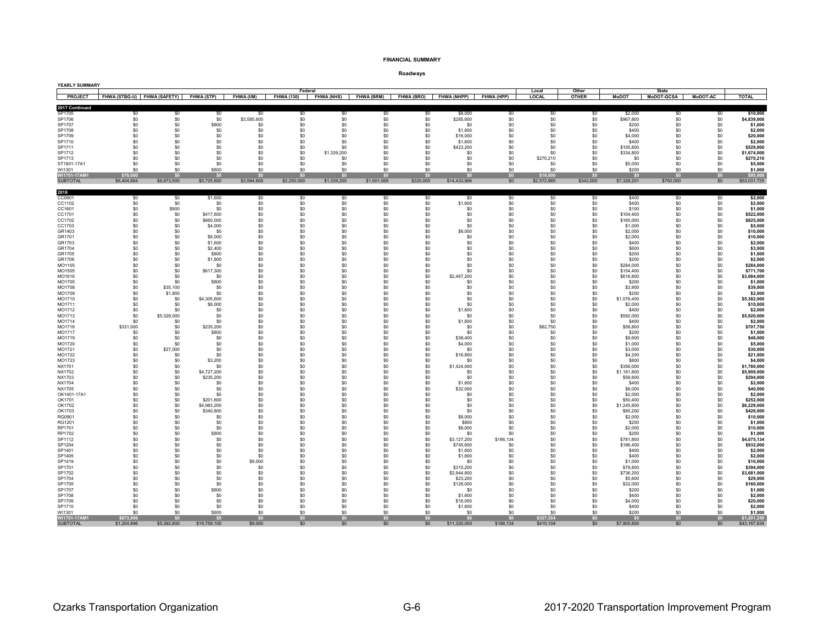#### **FINANCIAL SUMMARY**

| YEARLY SUMMARY                 |                             |                    |                        |                    |             |                       |                   |                   |                         |                        |                        |                       |                         |                                   |                 |                             |
|--------------------------------|-----------------------------|--------------------|------------------------|--------------------|-------------|-----------------------|-------------------|-------------------|-------------------------|------------------------|------------------------|-----------------------|-------------------------|-----------------------------------|-----------------|-----------------------------|
| PROJECT                        | FHWA (STBG-U) FHWA (SAFETY) |                    | <b>FHWA (STP)</b>      | FHWA (I/M)         | Federal     | FHWA (130) FHWA (NHS) | <b>FHWA (BRM)</b> | <b>FHWA (BRO)</b> | <b>FHWA (NHPP)</b>      | FHWA (HPP)             | Local<br><b>LOCAL</b>  | Other<br><b>OTHER</b> | <b>MoDOT</b>            | <b>State</b><br><b>Modot-GCSA</b> | <b>MoDOT-AC</b> | <b>TOTAL</b>                |
| 2017 Continued                 |                             |                    |                        |                    |             |                       |                   |                   |                         |                        |                        |                       |                         |                                   |                 |                             |
| SP1705                         | \$0                         | \$0                | \$0                    | \$0                | \$0         | \$0<br>\$0            | \$0               | \$0               | \$8,000                 | \$0                    | \$0<br>\$0             | \$0                   | \$2,000                 | \$0                               | \$0             | \$10,000                    |
| SP1706<br>SP1707               | \$0<br>\$0                  | \$0<br>\$0         | \$0<br>\$800           | \$3,585,600<br>\$0 | \$0<br>\$0  | \$0                   | \$0<br>\$0        | \$0<br>\$0        | \$285,600<br>\$0        | \$0<br>\$0             | \$0                    | \$0<br>\$0            | \$967,800<br>\$200      | \$0<br>\$0                        | \$0<br>\$0      | \$4,839,000<br>\$1,000      |
| SP1708                         | \$0                         | \$0                | \$0                    | \$0                | \$0         | \$0                   | \$0               | \$0               | \$1,600                 | \$0                    | \$0                    | \$0                   | \$400                   | \$0                               | \$0             | \$2,000                     |
| SP1709                         | \$0                         | \$0                | \$0                    | \$0                | \$0         | \$0                   | \$0               | \$0               | \$16,000                | \$0                    | \$0                    | \$0                   | \$4,000                 | \$0                               | \$0             | \$20,000                    |
| SP1710<br>SP1711               | \$0                         | \$0<br>\$0         | \$0                    | \$0                | \$0<br>\$0  | \$0<br>\$0            | \$0<br>\$0        | \$0<br>\$0        | \$1,600<br>\$423,200    | \$0                    | \$0<br>\$0             | \$0                   | \$400                   | \$0                               | \$0             | \$2,000<br>\$529,000        |
| SP1712                         | \$0<br>\$0                  | \$0                | \$0<br>\$0             | \$0<br>\$0         | \$0         | \$1,339,200           | \$0               | \$0               | \$0                     | \$0<br>\$0             | \$0                    | $\$0$<br>\$0          | \$105,800<br>\$334,800  | \$0<br>\$0                        | \$0<br>\$0      | \$1,674,000                 |
| SP1713                         | \$0                         | \$0                | \$0                    | \$0                | \$0         | \$0                   | \$0               | \$0               | \$0                     | \$0                    | \$270,210              | \$0                   | \$0                     | \$0                               | \$0             | \$270,210                   |
| ST1801-17A1                    | \$0                         | \$0                | \$0                    | \$0                | \$0         | \$0                   | \$0               | \$0               | \$0                     | \$0                    | S <sub>0</sub>         | \$0                   | \$5,000                 | \$0                               | \$0             | \$5,000                     |
| WI1301<br>WI1701-17AM1         | \$0<br>\$76,000             | \$0<br>\$0         | \$800<br>\$0           | \$0<br>\$0         | \$0<br>\$0  | \$0<br>\$0            | \$0<br>\$0        | \$0<br>\$0        | \$0<br>\$0              | \$0<br>SO <sub>2</sub> | \$0<br>\$19,000        | \$0<br>\$0            | \$200<br>-SO            | \$0<br>\$0                        | \$0<br>\$0      | \$1,000<br>\$95,000         |
| <b>SUBTOTAL</b>                | \$6,404,664                 | \$6,873,500        | \$5,725,600            | \$3,594,600        | \$2,250,000 | \$1,339,200           | \$1,001,069       | \$320,000         | \$14,433,906            | \$0                    | \$2,572,985            | \$343,000             | \$7,328,201             | \$750,000                         | \$0             | \$53,031,725                |
|                                |                             |                    |                        |                    |             |                       |                   |                   |                         |                        |                        |                       |                         |                                   |                 |                             |
| 2018<br>CC0901                 | \$0                         | \$0                | \$1,600                | \$0                | \$0         | \$0                   | \$0               | \$0               | \$0                     | \$0                    | \$0                    | \$0                   | \$400                   | \$0                               | \$0             | \$2,000                     |
| CC1102                         | \$0                         | \$0                | \$0                    | \$0                | \$0         | \$0                   | \$0               | \$0               | \$1,600                 | \$0                    | \$0                    | \$0                   | \$400                   | \$0                               | \$0             | \$2,000                     |
| CC1601                         | \$0                         | \$900              | \$0                    | \$0                | \$0         | \$0                   | \$0               | \$0               | \$0                     | \$0                    | \$0                    | \$0                   | \$100                   | \$0                               | \$0             | \$1,000                     |
| CC1701<br>CC1702               | \$0<br>\$0                  | \$0<br>\$0         | \$417,600<br>\$660,000 | \$0<br>$\$0$       | \$0<br>\$0  | \$0<br>\$0            | \$0<br>\$0        | \$0<br>\$0        | \$0<br>\$0              | \$0<br>\$0             | \$0<br>\$0             | \$0<br>\$0            | \$104,400<br>\$165,000  | \$0<br>\$0                        | \$0<br>\$0      | \$522,000<br>\$825,000      |
| CC1703                         | \$0                         | \$0                | \$4,000                | \$0                | \$0         | \$0                   | \$0               | \$0               | \$0                     | \$0                    | \$0                    | \$0                   | \$1,000                 | \$0                               | \$0             | \$5,000                     |
| GR1403                         | \$0                         | \$0                | \$0                    | \$0                | \$0         | \$0                   | \$0               | \$0               | \$8,000                 | \$0                    | \$0                    | \$0                   | \$2,000                 | \$0                               | \$0             | \$10,000                    |
| GR1701                         | \$0                         | \$0                | \$8,000                | \$0                | \$0         | \$0                   | \$0               | \$0               | \$0                     | \$0                    | \$0                    | \$0                   | \$2,000                 | \$0                               | \$0             | \$10,000                    |
| GR1703<br>GR1704               | \$0<br>\$0                  | \$0<br>\$0         | \$1,600<br>\$2,400     | \$0<br>\$0         | \$0<br>\$0  | \$0<br>\$0            | \$0<br>\$0        | \$0<br>\$0        | \$0<br>\$0              | \$0<br>\$0             | \$0<br>\$0             | \$0<br>\$0            | \$400<br>\$600          | \$0<br>\$0                        | \$0<br>\$0      | \$2,000<br>\$3,000          |
| GR1705                         | \$0                         | \$0                | \$800                  | \$0                | \$0         | \$0                   | \$0               | \$0               | \$0                     | \$0                    | \$0                    | \$0                   | \$200                   | \$0                               | \$0             | \$1,000                     |
| GR1706                         | \$0                         | \$0                | \$1,800                | \$0                | \$0         | \$0                   | \$0               | \$0               | \$0                     | \$0                    | \$0                    | \$0                   | \$200                   | \$0                               | \$0             | \$2,000                     |
| MO1105<br>MO1505               | \$0<br>\$0                  | \$0<br>\$0         | \$0<br>\$617,300       | \$0<br>\$0         | \$0<br>\$0  | \$0<br>\$0            | \$0<br>\$0        | \$0<br>\$0        | \$0<br>\$0              | \$0<br>\$0             | \$0<br>sn              | $\$0$<br>\$0          | \$284,000<br>\$154.400  | \$0<br>\$0                        | \$0<br>\$0      | \$284,000<br>\$771,700      |
| MO1616                         | \$0                         | \$0                | \$0                    | \$0                | \$0         | \$0                   | \$0               | \$0               | \$2,467,200             | \$0                    | \$0                    | \$0                   | \$616,800               | \$0                               | \$0             | \$3,084,000                 |
| MO1705                         | \$0                         | \$O                | \$800                  | \$0                | \$0         | \$0                   | \$0               | \$0               | \$0                     | \$0                    | \$0                    | \$0                   | \$200                   | \$0                               | \$0             | \$1,000                     |
| MO1708                         | \$0                         | \$35,100           | \$0                    | \$0                | \$0         | \$0                   | \$0<br>\$0        | \$0               | \$0                     | \$0                    | \$0                    | \$0                   | \$3,900                 | \$0                               | \$0             | \$39,000                    |
| MO1709<br>MO1710               | \$0<br>\$0                  | \$1,800<br>\$0     | \$0<br>\$4,305,600     | \$0<br>\$0         | \$0<br>\$0  | \$0<br>\$0            | \$0               | \$0<br>\$0        | \$0<br>\$0              | \$0<br>\$0             | \$0<br>\$0             | \$0<br>$\$0$          | \$200<br>\$1,076,400    | \$0<br>\$0                        | \$0<br>\$0      | \$2,000<br>\$5,382,000      |
| MO1711                         | \$0                         | \$0                | \$8,000                | \$0                | \$0         | \$0                   | \$0               | \$0               | \$0                     | \$0                    | \$0                    | \$0                   | \$2,000                 | \$0                               | \$0             | \$10,000                    |
| MO1712                         | \$0                         | \$0                | \$0                    | \$0                | \$0         | \$0                   | \$0               | \$0               | \$1,600                 | \$0                    | \$0                    | \$0                   | \$400                   | \$0                               | \$0             | \$2,000                     |
| MO1713<br>MO1714               | \$0<br>\$0                  | \$5,328,000<br>\$0 | \$0<br>\$0             | \$0<br>\$0         | \$0<br>\$0  | \$0<br>\$0            | \$0<br>\$0        | \$0<br>\$0        | \$0<br>\$1,600          | \$0<br>\$0             | \$0<br>\$0             | $\$0$<br>\$0          | \$592,000<br>\$400      | \$0<br>\$0                        | $\$0$<br>\$0    | \$5,920,000<br>\$2,000      |
| MO1716                         | \$331,000                   | \$0                | \$235.200              | \$0                | \$0         | \$0                   | \$0               | \$0               | \$0                     | \$0                    | \$82,750               | \$0                   | \$58,800                | \$0                               | \$0             | \$707,750                   |
| MO1717                         | \$0                         | \$0                | \$800                  | \$0                | \$0         | \$0                   | \$0               | \$0               | \$0                     | \$0                    | \$0                    | \$0                   | \$200                   | \$0                               | \$0             | \$1,000                     |
| MO1719                         | \$0                         | \$0                | \$0                    | \$0                | \$0         | \$0                   | \$0               | \$0               | \$38,400                | \$0                    | \$0                    | \$0                   | \$9,600                 | \$0                               | \$0             | \$48,000                    |
| MO1720<br>MO1721               | \$0<br>\$0                  | \$0<br>\$27,000    | \$0<br>\$0             | \$0<br>\$0         | \$0<br>\$0  | \$0<br>\$0            | S.O<br>\$0        | \$0<br>\$0        | \$4,000<br>\$0          | \$0<br>\$0             | SO.<br>\$0             | \$0<br>\$0            | \$1,000<br>\$3,000      | \$0<br>\$0                        | \$0<br>\$0      | \$5,000<br>\$30,000         |
| MO1722                         | \$0                         | \$0                | \$0                    | \$0                | \$0         | \$0                   | \$0               | \$0               | \$16,800                | \$0                    | \$0                    | $\$0$                 | \$4,200                 | \$0                               | \$0             | \$21,000                    |
| MO1723                         | \$0                         | \$0                | \$3,200                | \$0                | \$0         | \$0                   | \$0               | \$0               | \$0                     | \$0                    | \$0                    | \$0                   | \$800                   | \$0                               | \$0             | \$4,000                     |
| NX1701                         | \$0<br>\$0                  | \$0<br>\$0         | \$0<br>\$4,727,200     | \$0<br>$\$0$       | \$0<br>\$0  | \$0<br>\$0            | \$0<br>\$0        | \$0<br>\$0        | \$1,424,000<br>\$0      | \$0<br>\$0             | \$0<br>\$0             | $\$0$<br>\$0          | \$356,000               | \$0<br>\$0                        | $\$0$<br>\$0    | \$1,780,000<br>\$5,909,000  |
| NX1702<br><b>NX1703</b>        | \$0                         | \$0                | \$235,200              | \$0                | \$0         | \$0                   | \$0               | \$0               | \$0                     | \$0                    | \$0                    | \$0                   | \$1,181,800<br>\$58,800 | \$0                               | \$0             | \$294,000                   |
| <b>NX1704</b>                  | \$0                         | \$0                | \$0                    | \$0                | \$0         | \$0                   | \$0               | \$0               | \$1,600                 | \$0                    | \$0                    | \$0                   | \$400                   | \$0                               | \$0             | \$2,000                     |
| <b>NX1705</b>                  | \$0                         | \$0                | \$0                    | \$0                | \$0         | \$0                   | \$0               | \$0               | \$32,000                | \$0                    | \$0                    | \$0                   | \$8,000                 | \$0                               | \$0             | \$40,000                    |
| OK1401-17A1<br>OK1701          | \$0<br>\$0                  | \$0<br>\$0         | \$0<br>\$201,600       | \$0<br>\$0         | \$0<br>\$0  | \$0<br>\$0            | \$0<br>\$0        | \$0<br>\$0        | \$0<br>\$0              | \$0<br>\$0             | \$0<br>\$0             | $\$0$<br>\$0          | \$2,000<br>\$50,400     | \$0<br>\$0                        | \$0<br>\$0      | \$2,000<br>\$252,000        |
| OK1702                         | \$0                         | \$0                | \$4,983,200            | \$0                | \$0         | \$0                   | \$0               | \$0               | \$0                     | \$0                    | \$0                    | \$0                   | \$1,245,800             | \$0                               | \$0             | \$6,229,000                 |
| OK1703                         | \$0                         | \$0                | \$340,800              | \$0                | \$0         | \$0                   | \$0               | \$0               | \$0                     | \$0                    | \$0                    | $\$0$                 | \$85,200                | \$0                               | \$0             | \$426,000                   |
| RG0901                         | \$0                         | \$0                | \$0                    | \$0                | \$0<br>\$0  | \$0<br>\$0            | \$0<br>\$0        | \$0<br>\$0        | \$8,000                 | \$0                    | \$0<br>sn              | $\$0$<br>\$0          | \$2,000                 | \$0                               | \$0<br>\$0      | \$10,000                    |
| RG1201<br>RP1701               | \$0<br>\$0                  | \$0<br>\$0         | \$0<br>\$0             | \$0<br>\$0         | \$0         | \$0                   | \$0               | \$0               | \$800<br>\$8,000        | \$0<br>\$0             | \$0                    | \$0                   | \$200<br>\$2,000        | \$0<br>\$0                        | \$0             | \$1,000<br>\$10,000         |
| RP1702                         | \$0                         | \$0                | \$800                  | \$0                | \$0         | \$0                   | \$0               | \$0               | \$0                     | \$0                    | \$0                    | \$0                   | \$200                   | \$0                               | \$0             | \$1,000                     |
| SP1112                         | \$0                         | \$0                | \$0                    | \$0                | \$0         | \$0                   | \$0               | \$0               | \$3,127,200             | \$166,134              | \$0                    | \$0                   | \$781,800               | \$0                               | \$0             | \$4,075,134                 |
| SP1204<br>SP1401               | \$0<br>\$0                  | \$0<br>\$0         | \$0<br>\$0             | \$0<br>\$0         | \$0<br>\$0  | \$0<br>\$0            | \$0<br>\$0        | \$0<br>\$0        | \$745,600<br>\$1,600    | \$0<br>\$0             | \$0<br>\$0             | \$0<br>\$0            | \$186,400<br>\$400      | \$0<br>\$0                        | \$0<br>\$0      | \$932,000<br>\$2,000        |
| SP1405                         | \$0                         | \$0                | \$0                    | \$0                | \$0         | \$0                   | \$0               | \$0               | \$1,600                 | \$0                    | \$0                    | \$0                   | \$400                   | \$0                               | \$0             | \$2,000                     |
| SP1419                         | \$0                         | \$0                | \$0                    | \$9,000            | \$0         | \$0                   | \$0               | \$0               | \$0                     | \$0                    | \$0                    | \$0                   | \$1,000                 | \$0                               | \$0             | \$10,000                    |
| SP1701                         | \$0                         | \$0<br>\$0         | \$0                    | \$0                | \$0         | \$0<br>\$0            | \$0<br>\$0        | \$0               | \$315,200               | \$0<br>\$0             | \$0<br>\$0             | $\$0$                 | \$78,800                | \$0                               | \$0             | \$394,000                   |
| SP1702<br>SP1704               | \$0<br>\$0                  | \$0                | \$0<br>\$0             | \$0<br>\$0         | \$0<br>\$0  | \$0                   | \$0               | \$0<br>\$0        | \$2,944,800<br>\$23,200 | \$0                    | \$0                    | \$0<br>\$0            | \$736,200<br>\$5,800    | \$0<br>\$0                        | \$0<br>\$0      | \$3,681,000<br>\$29,000     |
| SP1705                         | \$0                         | \$0                | \$0                    | \$0                | \$0         | \$0                   | \$0               | \$0               | \$128,000               | \$0                    | \$0                    | \$0                   | \$32,000                | \$0                               | \$0             | \$160,000                   |
| SP1707                         | \$0                         | \$0                | \$800                  | \$0                | \$0         | \$0                   | \$0               | \$0               | \$0                     | \$0                    | \$0                    | \$0                   | \$200                   | \$0                               | \$0             | \$1,000                     |
| SP1708<br>SP1709               | \$0<br>\$0                  | \$0<br>\$0         | \$0<br>\$0             | \$0<br>\$0         | \$0<br>\$0  | \$0<br>\$0            | \$0<br>\$0        | \$0<br>\$0        | \$1,600<br>\$16,000     | SO.<br>\$0             | \$0<br>\$0             | \$0<br>\$0            | \$400<br>\$4,000        | \$0<br>\$0                        | \$0<br>\$0      | \$2,000<br>\$20,000         |
| SP1710                         | \$0                         | \$0                | \$0                    | \$0                | \$0         | \$0                   | \$0               | \$0               | \$1,600                 | \$0                    | \$0                    | \$0                   | \$400                   | \$0                               | \$0             | \$2,000                     |
| WI1301                         | \$0                         | \$0                | \$800                  | \$0                | \$0         | \$0                   | \$0               | \$0               | \$0                     | \$0                    | \$0                    | \$0                   | \$200                   | \$0                               | \$0             | \$1,000                     |
| WI1701-17AI<br><b>SUBTOTAL</b> | \$873,896<br>\$1,204,896    | -SO<br>\$5,392,800 | \$0<br>\$16,759,100    | \$0<br>\$9,000     | \$0<br>\$0  | \$0<br>\$0            | \$0<br>\$0        | \$0\$<br>\$0      | \$O<br>\$11,320,000     | SO<br>\$166,134        | \$327,354<br>\$410,104 | \$0<br>\$0            | \$0<br>\$7,905,800      | \$0<br>\$0                        | SO<br>\$0       | \$1,201,250<br>\$43,167,834 |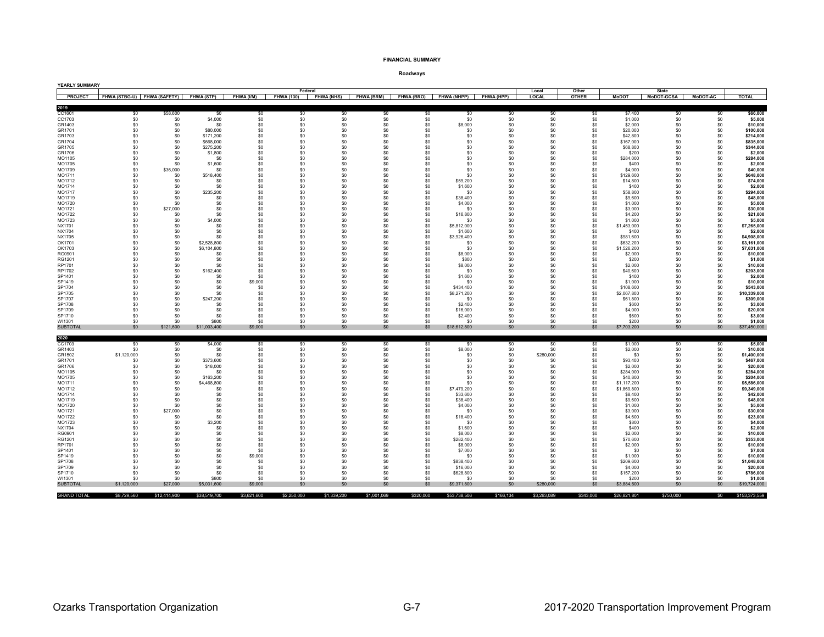#### **FINANCIAL SUMMARY**

| YEARLY SUMMARY     |                             |                 |                   |             |                              |                   |                   |            |                        |                   |                       |                       |                        |                                   |                                                         |                        |
|--------------------|-----------------------------|-----------------|-------------------|-------------|------------------------------|-------------------|-------------------|------------|------------------------|-------------------|-----------------------|-----------------------|------------------------|-----------------------------------|---------------------------------------------------------|------------------------|
| <b>PROJECT</b>     | FHWA (STBG-U) FHWA (SAFETY) |                 | <b>FHWA (STP)</b> | FHWA (I/M)  | Federal<br><b>FHWA (130)</b> | <b>FHWA (NHS)</b> | <b>FHWA (BRM)</b> |            | FHWA (BRO) FHWA (NHPP) | <b>FHWA (HPP)</b> | Local<br><b>LOCAL</b> | Other<br><b>OTHER</b> | <b>MoDOT</b>           | <b>State</b><br><b>Modot-GCSA</b> | <b>MoDOT-AC</b>                                         | <b>TOTAL</b>           |
|                    |                             |                 |                   |             |                              |                   |                   |            |                        |                   |                       |                       |                        |                                   |                                                         |                        |
| 2019               |                             |                 |                   |             |                              |                   |                   |            |                        |                   |                       |                       |                        |                                   |                                                         |                        |
| CC1601             | \$0                         | \$58,600        | \$0               | \$0         | \$0                          | \$0               | \$0               | \$0        | \$0                    | \$0               | \$0                   | \$0                   | \$7,400                | \$0                               | \$0                                                     | \$66,000               |
| CC1703<br>GR1403   | \$0<br>\$0                  | \$0<br>\$0      | \$4,000<br>\$0    | \$0<br>\$0  | \$0<br>\$0                   | \$0<br>\$0        | \$0<br>\$0        | \$0<br>\$0 | \$0<br>\$8,000         | \$0<br>\$0        | \$0<br>\$0            | \$0<br>\$0            | \$1,000<br>\$2,000     | \$0<br>\$0                        | \$0<br>\$0                                              | \$5,000<br>\$10,000    |
| GR1701             | \$0                         | \$0             | \$80,000          | \$0         | \$0                          | \$0               | \$0               | \$0        | \$0                    | \$0               | \$0                   | \$0                   | \$20,000               | \$0                               | \$0                                                     | \$100,000              |
| GR1703             | \$0                         | \$0             | \$171,200         | \$0         | \$0                          | \$0               | \$0               | \$0        | \$0                    | \$0               | \$0                   | \$0                   | \$42,800               | \$0                               | \$0                                                     | \$214,000              |
| GR1704             | \$0                         | \$0             | \$668,000         | \$0         | \$0                          | \$0               | \$0               | \$0        | \$0                    | \$0               | \$0                   | \$0                   | \$167,000              | \$0                               |                                                         | \$835,000              |
| GR1705             | \$0                         | \$0             | \$275,200         | \$0         | \$0                          | \$0               | \$0               | \$0        | \$0                    | \$0               | \$0                   | \$0                   | \$68,800               | \$0                               | $\begin{array}{c} \mathsf{S0}\ \mathsf{S0} \end{array}$ | \$344,000              |
| GR1706             | \$0                         | \$0             | \$1,800           | \$0         | \$0                          | \$0               | \$0               | \$0        | \$0                    | \$0               | \$0                   | \$0                   | \$200                  | \$0                               | \$0                                                     | \$2,00                 |
| MO1105             | \$0                         | \$0             | \$0               | \$0         | \$0                          | \$0               | \$0               | \$0        | \$0                    | \$0               | \$0                   | \$0                   | \$284.000              | \$0                               | \$0                                                     | \$284,000              |
| MO1705             | \$0                         | \$0             | \$1,600           | \$0         | \$0                          | \$0               | \$0               | \$0        | \$0                    | \$0               | \$0                   | \$0                   | \$400                  | \$0                               | \$0                                                     | \$2,000                |
| MO1709<br>MO1711   | \$0<br>\$0                  | \$36,000<br>\$0 | \$0<br>\$518,400  | \$0<br>\$0  | \$0<br>\$0                   | \$0<br>\$0        | \$0<br>\$0        | \$0        | \$0<br>\$0             | \$0<br>\$0        | \$0<br>\$0            | \$0<br>\$0            | \$4,000<br>\$129,600   | \$0                               | \$0                                                     | \$40,000<br>\$648,000  |
| MO1712             | \$0                         | \$0             | \$0               | \$0         | \$0                          | \$0               | \$0               | \$0<br>\$0 | \$59,200               | \$0               | \$0                   | \$0                   | \$14,800               | \$0<br>\$0                        | $\$0$<br>\$0                                            | \$74,000               |
| MO1714             | \$0                         | \$0             | \$0               | \$0         | \$0                          | \$0               | \$0               | \$0        | \$1,600                | \$0               | \$0                   | \$0                   | \$400                  | \$0                               | \$0                                                     | \$2,000                |
| MO1717             | \$0                         | \$0             | \$235,200         | \$0         | \$0                          | \$0               | \$0               | \$0        | \$0                    | \$0               | \$0                   | \$0                   | \$58,800               | \$0                               | \$0                                                     | \$294,000              |
| MO1719             | \$0                         | \$0             | \$0               | \$0         | \$0                          | \$0               | \$0               | \$0        | \$38,400               | \$0               | \$0                   | \$0                   | \$9,600                | \$0                               | \$0                                                     | \$48,000               |
| MO1720             | \$0                         | \$0             | \$0               | \$0         | $\$0$                        | \$0               | \$0               | \$0        | \$4,000                | \$0               | \$0                   | \$0                   | \$1,000                | \$0                               | \$0                                                     | \$5,000                |
| MO1721             | $\$0$                       | \$27,000        | \$0               | \$0         | $\$0$                        | \$0               | \$0               | \$0        | \$0                    | \$0               | \$0                   | \$0                   | \$3,000                | \$0                               | \$0                                                     | \$30,000               |
| MO1722             | \$0                         | \$0             | \$0               | \$0         | \$0                          | \$0               | \$0               | \$0        | \$16,800               | \$0               | \$0                   | \$0                   | \$4,200                | \$0                               | \$0<br>\$0                                              | \$21,000               |
| MO1723<br>NX1701   | \$0<br>\$0                  | \$0<br>\$0      | \$4,000<br>\$0    | \$0<br>\$0  | \$0<br>\$0                   | \$0<br>\$0        | \$0<br>\$0        | \$0<br>\$0 | \$0<br>\$5,812,000     | \$0<br>\$0        | \$0<br>\$0            | \$0<br>\$0            | \$1,000<br>\$1,453,000 | \$0<br>\$0                        | \$0                                                     | \$5,000<br>\$7,265,000 |
| NX1704             | \$0                         | \$0             | \$0               | \$0         | \$0                          | \$0               | \$0               | \$0        | \$1,600                | \$0               | \$0                   | \$0                   | \$400                  | \$0                               | \$0                                                     | \$2,000                |
| NX1705             | \$0                         | \$0             | \$0               | \$0         | \$0                          | \$0               | \$0               | \$0        | \$3,926,400            | \$0               | \$0                   | \$0                   | \$981,600              | \$0                               | \$0                                                     | \$4,908,000            |
| OK1701             | \$0                         | \$0             | \$2,528,800       | \$0         | \$0                          | \$0               | \$0               | \$0        | \$0                    | \$0               | \$0                   | \$0                   | \$632,200              | \$0                               | \$0                                                     | \$3,161,000            |
| OK1703             | \$0                         | \$0             | \$6,104,800       | \$0         | \$0                          | \$0               | \$0               | \$0        | \$0                    | \$0               | \$0                   | \$0                   | \$1,526,200            | \$0                               | \$0                                                     | \$7,631,000            |
| RG0901             | \$0                         | \$0             | \$0               | \$0         | \$0                          | \$0               | \$0               | \$0        | \$8,000                | \$0               | \$0                   | \$0                   | \$2,000                | \$0                               | \$0                                                     | \$10,000               |
| RG1201             | \$0                         | \$0             | \$0               | \$0         | \$0                          | \$0               | \$0               | \$0        | \$800                  | \$0               | \$0                   | \$0                   | \$200                  | \$0                               | \$0                                                     | \$1,000                |
| RP1701<br>RP1702   | \$0<br>\$0                  | \$0<br>\$0      | \$0<br>\$162,400  | \$0<br>\$0  | \$0<br>\$0                   | \$0<br>\$0        | \$0<br>\$0        | \$0<br>\$0 | \$8,000<br>\$0         | \$0<br>\$0        | \$0<br>\$0            | \$0<br>\$0            | \$2,000<br>\$40,600    | \$0<br>\$0                        | \$0<br>\$0                                              | \$10,000<br>\$203,000  |
| SP1401             | \$0                         | \$0             | \$0               | \$0         | \$0                          | \$0               | \$0               | \$0        | \$1,600                | \$0               | \$0                   | \$0                   | \$400                  | \$0                               | \$0                                                     | \$2,000                |
| SP1419             | \$0                         | \$0             | \$0               | \$9,000     | \$0                          | \$0               | \$0               | \$0        | \$0                    | \$0               | \$0                   | \$0                   | \$1,000                | \$0                               | \$0                                                     | \$10,000               |
| SP1704             | \$0                         | \$0             | \$0               | \$0         | \$0                          | \$0               | \$0               | \$0        | \$434,400              | \$0               | \$0                   | \$0                   | \$108,600              | \$0                               | \$0                                                     | \$543,000              |
| SP1705             | \$0                         | \$0             | \$0               | \$0         | \$0                          | \$0               | \$0               | \$0        | \$8,271,200            | \$0               | \$0                   | \$0                   | \$2,067,800            | \$0                               | \$0                                                     | \$10,339,000           |
| SP1707             | \$0                         | \$0             | \$247,200         | \$0         | \$0                          | \$0               | \$0               | \$0        | \$0                    | \$0               | \$0                   | \$0                   | \$61,800               | \$0                               | \$0                                                     | \$309,000              |
| SP1708             | \$0                         | \$0             | \$0               | \$0         | \$0                          | \$0               | \$0               | \$0        | \$2,400                | \$0               | \$0                   | \$0                   | \$600                  | \$0                               | \$0                                                     | \$3,000                |
| SP1709<br>SP1710   | \$0<br>\$0                  | \$0<br>\$0      | \$0<br>\$0        | \$0<br>\$0  | \$0<br>\$0                   | \$0<br>\$0        | \$0<br>\$0        | \$0<br>\$0 | \$16,000               | \$0<br>\$0        | \$0                   | \$0<br>\$0            | \$4,000                | \$0<br>\$0                        | \$0<br>\$0                                              | \$20,000<br>\$3,000    |
| WI1301             | \$0                         | \$0             | \$800             | \$0         | \$0                          | \$0               | \$0               | \$0        | \$2,400<br>\$0         | \$0               | \$0<br>\$0            | \$0                   | \$600<br>\$200         | \$0                               | \$0                                                     | \$1,000                |
| <b>SUBTOTAL</b>    | \$0                         | \$121,600       | \$11,003,400      | \$9,000     | \$0                          | \$0               | \$0               | \$0        | \$18,612,800           | \$0               | \$0                   | \$0                   | \$7,703,200            | \$0                               | \$0                                                     | \$37,450,000           |
|                    |                             |                 |                   |             |                              |                   |                   |            |                        |                   |                       |                       |                        |                                   |                                                         |                        |
| 2020               |                             |                 |                   |             |                              |                   |                   |            |                        |                   |                       |                       |                        |                                   |                                                         |                        |
| CC1703<br>GR1403   | \$0<br>\$0                  | \$0<br>\$0      | \$4,000<br>\$0    | \$0<br>\$0  | \$0<br>\$0                   | \$0<br>\$0        | \$0<br>\$0        | \$0<br>\$0 | \$0                    | \$0<br>\$0        | \$0                   | \$0<br>\$0            | \$1,000<br>\$2,000     | \$0<br>\$0                        | \$0<br>\$0                                              | \$5,000<br>\$10,000    |
| GR1502             | \$1,120,000                 | \$0             | \$0               | \$0         | \$0                          | \$0               | \$0               | \$0        | \$8,000<br>\$0         | \$0               | \$0<br>\$280,000      | \$0                   | \$0                    | \$0                               | \$0                                                     | \$1,400,000            |
| GR1701             | \$0                         | \$0             | \$373,600         | \$0         | \$0                          | \$0               | \$0               | \$0        | \$0                    | \$0               | \$0                   | \$0                   | \$93,400               | \$0                               | \$0                                                     | \$467,000              |
| GR1706             | \$0                         | \$0             | \$18,000          | \$0         | \$0                          | \$0               | \$0               | \$0        | \$0                    | \$0               | \$0                   | \$0                   | \$2,000                | \$0                               | \$0                                                     | \$20,000               |
| MO1105             | \$0                         | \$0             | \$0               | \$0         | \$0                          | \$0               | \$0               | \$0        | \$0                    | \$0               | \$0                   | \$0                   | \$284.000              | \$0                               | \$0                                                     | \$284,000              |
| MO1705             | \$0                         | \$0             | \$163,200         | \$0         | \$0                          | \$0               | \$0               | \$0        | \$0                    | \$0               | \$0                   | \$0                   | \$40,800               | \$0                               | \$0                                                     | \$204,000              |
| MO1711             | \$0                         | \$0             | \$4,468,800       | \$0         | \$0                          | \$0               | \$0               | \$0        | \$0                    | \$0               | \$0                   | \$0                   | \$1,117,200            | \$0                               | $\$0$                                                   | \$5,586,000            |
| MO1712             | \$0                         | \$0<br>\$0      | \$0               | \$0         | \$0                          | \$0               | \$0<br>\$0        | \$0        | \$7,479,200            | \$0               | \$0                   | \$0                   | \$1,869,800            | \$0                               | \$0                                                     | \$9,349,000            |
| MO1714<br>MO1719   | \$0<br>\$0                  | \$0             | \$0<br>\$0        | \$0<br>\$0  | \$0<br>\$0                   | \$0<br>\$0        | \$0               | \$0<br>\$0 | \$33,600<br>\$38,400   | \$0<br>\$0        | \$0<br>\$0            | \$0<br>\$0            | \$8,400<br>\$9,600     | \$0<br>\$0                        | \$0<br>\$0                                              | \$42,000<br>\$48,000   |
| MO1720             | \$0                         | \$0             | \$0               | \$0         | \$0                          | \$0               | \$0               | \$0        | \$4,000                | \$0               | \$0                   | \$0                   | \$1,000                | \$0                               | \$0                                                     | \$5,000                |
| MO1721             | $\$0$                       | \$27,000        | \$0               | \$0         | \$0                          | \$0               | \$0               | \$0        | \$0                    | \$0               | \$0                   | \$0                   | \$3,000                | \$0                               | \$0                                                     | \$30,000               |
| MO1722             | \$0                         | \$0             | \$0               | \$0         | \$0                          | \$0               | \$0               | \$0        | \$18,400               | \$0               | \$0                   | \$0                   | \$4,600                | \$0                               | \$0                                                     | \$23,000               |
| MO1723             | \$0                         | \$0             | \$3,200           | \$0         | \$0                          | \$0               | \$0               | \$0        | \$0                    | \$0               | \$0                   | \$0                   | \$800                  | \$0                               | \$0                                                     | \$4,000                |
| NX1704             | \$0                         | -SO             | \$0               | \$0         | \$0                          | \$0               | S0                | \$0        | \$1,600                | \$0               | \$0                   | \$0                   | \$400                  | \$0                               | \$0                                                     | \$2,000                |
| RG0901             | \$0                         | \$0             | \$0               | \$0         | \$0                          | \$0               | \$0               | \$0        | \$8,000                | \$0               | \$0                   | \$0                   | \$2,000                | \$0                               | \$0                                                     | \$10,000               |
| RG1201<br>RP1701   | \$0<br>\$0                  | \$0<br>\$0      | \$0<br>\$0        | \$0<br>\$0  | \$0<br>\$0                   | \$0<br>\$0        | \$0<br>\$0        | \$0<br>\$0 | \$282,400<br>\$8,000   | \$0<br>\$0        | \$0<br>\$0            | \$0<br>\$0            | \$70,600               | \$0<br>\$0                        | \$0<br>\$0                                              | \$353,000<br>\$10,000  |
| SP1401             | \$0                         | \$0             | \$0               | \$0         | \$0                          | \$0               | \$0               | \$0        | \$7,000                | \$0               | \$0                   | \$0                   | \$2,000<br>\$0         | \$0                               | \$0                                                     | \$7,000                |
| SP1419             | \$0                         | \$0             | \$0               | \$9,000     | \$0                          | \$0               | \$0               | \$0        | \$0                    | \$0               | \$0                   | S <sub>0</sub>        | \$1,000                | \$0                               | \$0                                                     | \$10,000               |
| SP1708             | \$0                         | \$0             | \$0               | \$0         | \$0                          | \$0               | \$0               | \$0        | \$838,400              | \$0               | \$0                   | \$0                   | \$209,600              | \$0                               | \$0                                                     | \$1,048,000            |
| SP1709             | \$0                         | \$0             | \$0               | \$0         | \$0                          | \$0               | \$0               | \$0        | \$16,000               | \$0               | \$0                   | \$0                   | \$4,000                | \$0                               | \$0                                                     | \$20,000               |
| SP1710             | \$0                         | \$0             | \$0               | \$0         | \$0                          | \$0               | \$0               | \$0        | \$628,800              | \$0               | \$0                   | \$0                   | \$157,200              | \$0                               | \$0                                                     | \$786,000              |
| WI1301             | \$0                         | \$0             | \$800             | \$0         | \$0                          | \$0               | \$0               | \$0        | \$0                    | \$0               | \$0                   | \$0                   | \$200                  | \$0                               | \$0                                                     | \$1,000                |
| <b>SUBTOTAL</b>    | \$1,120,000                 | \$27,000        | \$5,031,600       | \$9,000     | \$O                          | \$0               | \$0               | \$0        | \$9,371,800            | \$0               | \$280,000             | \$0                   | \$3,884,600            | \$0                               | \$0                                                     | \$19,724,000           |
| <b>GRAND TOTAL</b> | \$8,729,560                 | \$12,414,900    | \$38,519,700      | \$3,621,600 | \$2,250,000                  | \$1,339,200       | \$1,001,069       | \$320,000  | \$53,738,506           | \$166,134         | \$3,263,089           | \$343,000             | \$26,821,801           | \$750,000                         | \$0                                                     | \$153,373,559          |